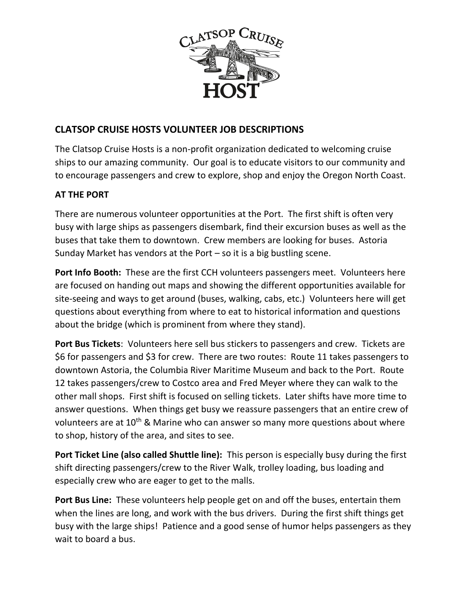

## **CLATSOP CRUISE HOSTS VOLUNTEER JOB DESCRIPTIONS**

The Clatsop Cruise Hosts is a non-profit organization dedicated to welcoming cruise ships to our amazing community. Our goal is to educate visitors to our community and to encourage passengers and crew to explore, shop and enjoy the Oregon North Coast.

## **AT THE PORT**

There are numerous volunteer opportunities at the Port. The first shift is often very busy with large ships as passengers disembark, find their excursion buses as well as the buses that take them to downtown. Crew members are looking for buses. Astoria Sunday Market has vendors at the Port  $-$  so it is a big bustling scene.

**Port Info Booth:** These are the first CCH volunteers passengers meet. Volunteers here are focused on handing out maps and showing the different opportunities available for site-seeing and ways to get around (buses, walking, cabs, etc.) Volunteers here will get questions about everything from where to eat to historical information and questions about the bridge (which is prominent from where they stand).

**Port Bus Tickets**: Volunteers here sell bus stickers to passengers and crew. Tickets are \$6 for passengers and \$3 for crew. There are two routes: Route 11 takes passengers to downtown Astoria, the Columbia River Maritime Museum and back to the Port. Route 12 takes passengers/crew to Costco area and Fred Meyer where they can walk to the other mall shops. First shift is focused on selling tickets. Later shifts have more time to answer questions. When things get busy we reassure passengers that an entire crew of volunteers are at  $10^{th}$  & Marine who can answer so many more questions about where to shop, history of the area, and sites to see.

**Port Ticket Line (also called Shuttle line):** This person is especially busy during the first shift directing passengers/crew to the River Walk, trolley loading, bus loading and especially crew who are eager to get to the malls.

**Port Bus Line:** These volunteers help people get on and off the buses, entertain them when the lines are long, and work with the bus drivers. During the first shift things get busy with the large ships! Patience and a good sense of humor helps passengers as they wait to board a bus.